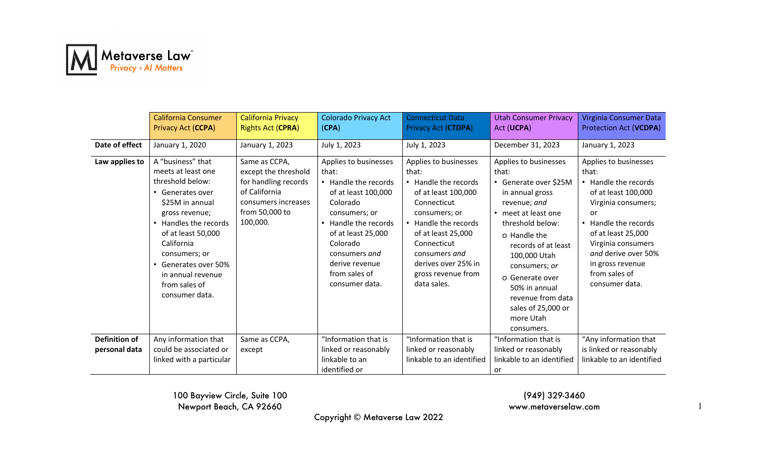

|                      | <b>California Consumer</b><br>Privacy Act (CCPA)                                                                                                                                                                                                                                 | <b>California Privacy</b><br><b>Rights Act (CPRA)</b>                                                                               | <b>Colorado Privacy Act</b><br>(CPA)                                                                                                                                                                                                       | <b>Connecticut Data</b><br>Privacy Act (CTDPA)                                                                                                                                                                                                        | <b>Utah Consumer Privacy</b><br>Act (UCPA)                                                                                                                                                                                                                                                                              | Virginia Consumer Data<br>Protection Act (VCDPA)                                                                                                                                                                                                             |
|----------------------|----------------------------------------------------------------------------------------------------------------------------------------------------------------------------------------------------------------------------------------------------------------------------------|-------------------------------------------------------------------------------------------------------------------------------------|--------------------------------------------------------------------------------------------------------------------------------------------------------------------------------------------------------------------------------------------|-------------------------------------------------------------------------------------------------------------------------------------------------------------------------------------------------------------------------------------------------------|-------------------------------------------------------------------------------------------------------------------------------------------------------------------------------------------------------------------------------------------------------------------------------------------------------------------------|--------------------------------------------------------------------------------------------------------------------------------------------------------------------------------------------------------------------------------------------------------------|
| Date of effect       | January 1, 2020                                                                                                                                                                                                                                                                  | January 1, 2023                                                                                                                     | July 1, 2023                                                                                                                                                                                                                               | July 1, 2023                                                                                                                                                                                                                                          | December 31, 2023                                                                                                                                                                                                                                                                                                       | January 1, 2023                                                                                                                                                                                                                                              |
| Law applies to       | A "business" that<br>meets at least one<br>threshold below:<br>• Generates over<br>\$25M in annual<br>gross revenue;<br>• Handles the records<br>of at least 50,000<br>California<br>consumers; or<br>Generates over 50%<br>in annual revenue<br>from sales of<br>consumer data. | Same as CCPA,<br>except the threshold<br>for handling records<br>of California<br>consumers increases<br>from 50,000 to<br>100,000. | Applies to businesses<br>that:<br>• Handle the records<br>of at least 100,000<br>Colorado<br>consumers; or<br>• Handle the records<br>of at least 25,000<br>Colorado<br>consumers and<br>derive revenue<br>from sales of<br>consumer data. | Applies to businesses<br>that:<br>• Handle the records<br>of at least 100,000<br>Connecticut<br>consumers; or<br>Handle the records<br>of at least 25,000<br>Connecticut<br>consumers and<br>derives over 25% in<br>gross revenue from<br>data sales. | Applies to businesses<br>that:<br>• Generate over \$25M<br>in annual gross<br>revenue; and<br>• meet at least one<br>threshold below:<br>o Handle the<br>records of at least<br>100,000 Utah<br>consumers; or<br>o Generate over<br>50% in annual<br>revenue from data<br>sales of 25,000 or<br>more Utah<br>consumers. | Applies to businesses<br>that:<br>• Handle the records<br>of at least 100,000<br>Virginia consumers;<br>or<br>• Handle the records<br>of at least 25,000<br>Virginia consumers<br>and derive over 50%<br>in gross revenue<br>from sales of<br>consumer data. |
| <b>Definition of</b> | Any information that                                                                                                                                                                                                                                                             | Same as CCPA,                                                                                                                       | "Information that is                                                                                                                                                                                                                       | "Information that is                                                                                                                                                                                                                                  | "Information that is                                                                                                                                                                                                                                                                                                    | "Any information that                                                                                                                                                                                                                                        |
| personal data        | could be associated or                                                                                                                                                                                                                                                           | except                                                                                                                              | linked or reasonably                                                                                                                                                                                                                       | linked or reasonably                                                                                                                                                                                                                                  | linked or reasonably                                                                                                                                                                                                                                                                                                    | is linked or reasonably                                                                                                                                                                                                                                      |
|                      | linked with a particular                                                                                                                                                                                                                                                         |                                                                                                                                     | linkable to an<br>identified or                                                                                                                                                                                                            | linkable to an identified                                                                                                                                                                                                                             | linkable to an identified                                                                                                                                                                                                                                                                                               | linkable to an identified                                                                                                                                                                                                                                    |
|                      |                                                                                                                                                                                                                                                                                  |                                                                                                                                     |                                                                                                                                                                                                                                            |                                                                                                                                                                                                                                                       | or                                                                                                                                                                                                                                                                                                                      |                                                                                                                                                                                                                                                              |

(949) 329-3460 www.metaverselaw.com

Copyright © Metaverse Law 2022

1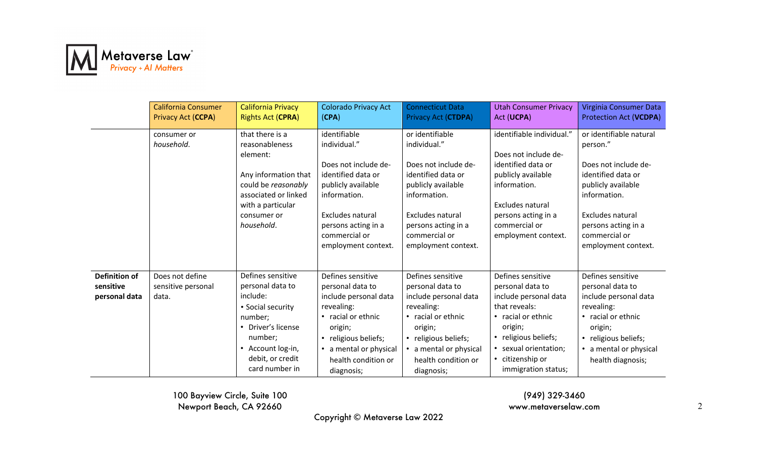

|                                                    | <b>California Consumer</b><br>Privacy Act (CCPA) | California Privacy<br><b>Rights Act (CPRA)</b>                                                                                                                            | <b>Colorado Privacy Act</b><br>(CPA)                                                                                                                                                                | <b>Connecticut Data</b><br>Privacy Act (CTDPA)                                                                                                                                                         | <b>Utah Consumer Privacy</b><br>Act (UCPA)                                                                                                                                                                   | Virginia Consumer Data<br>Protection Act (VCDPA)                                                                                                                                                           |
|----------------------------------------------------|--------------------------------------------------|---------------------------------------------------------------------------------------------------------------------------------------------------------------------------|-----------------------------------------------------------------------------------------------------------------------------------------------------------------------------------------------------|--------------------------------------------------------------------------------------------------------------------------------------------------------------------------------------------------------|--------------------------------------------------------------------------------------------------------------------------------------------------------------------------------------------------------------|------------------------------------------------------------------------------------------------------------------------------------------------------------------------------------------------------------|
|                                                    | consumer or<br>household.                        | that there is a<br>reasonableness<br>element:<br>Any information that<br>could be reasonably<br>associated or linked<br>with a particular<br>consumer or<br>household.    | identifiable<br>individual."<br>Does not include de-<br>identified data or<br>publicly available<br>information.<br>Excludes natural<br>persons acting in a<br>commercial or<br>employment context. | or identifiable<br>individual."<br>Does not include de-<br>identified data or<br>publicly available<br>information.<br>Excludes natural<br>persons acting in a<br>commercial or<br>employment context. | identifiable individual."<br>Does not include de-<br>identified data or<br>publicly available<br>information.<br>Excludes natural<br>persons acting in a<br>commercial or<br>employment context.             | or identifiable natural<br>person."<br>Does not include de-<br>identified data or<br>publicly available<br>information.<br>Excludes natural<br>persons acting in a<br>commercial or<br>employment context. |
| <b>Definition of</b><br>sensitive<br>personal data | Does not define<br>sensitive personal<br>data.   | Defines sensitive<br>personal data to<br>include:<br>• Social security<br>number;<br>Driver's license<br>number;<br>Account log-in,<br>debit, or credit<br>card number in | Defines sensitive<br>personal data to<br>include personal data<br>revealing:<br>• racial or ethnic<br>origin;<br>• religious beliefs;<br>a mental or physical<br>health condition or<br>diagnosis;  | Defines sensitive<br>personal data to<br>include personal data<br>revealing:<br>• racial or ethnic<br>origin;<br>• religious beliefs;<br>a mental or physical<br>health condition or<br>diagnosis;     | Defines sensitive<br>personal data to<br>include personal data<br>that reveals:<br>• racial or ethnic<br>origin;<br>• religious beliefs;<br>• sexual orientation;<br>• citizenship or<br>immigration status; | Defines sensitive<br>personal data to<br>include personal data<br>revealing:<br>• racial or ethnic<br>origin;<br>• religious beliefs;<br>• a mental or physical<br>health diagnosis;                       |

(949) 329-3460 www.metaverselaw.com

Copyright © Metaverse Law 2022

2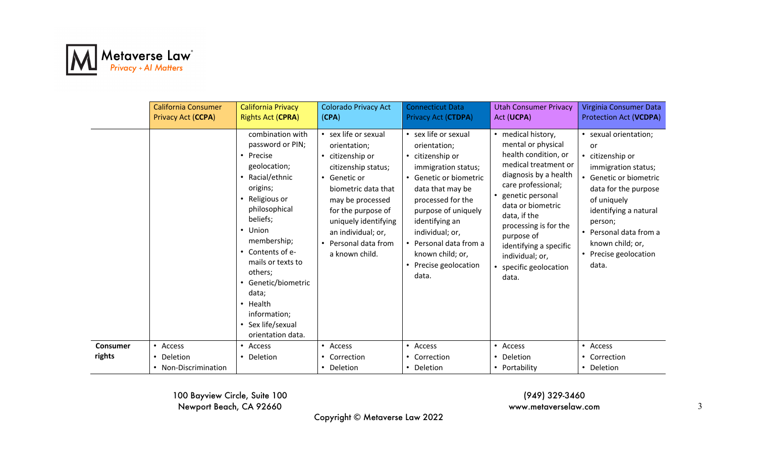

|                 | <b>California Consumer</b><br>Privacy Act (CCPA) | <b>California Privacy</b><br><b>Rights Act (CPRA)</b>                                                                                                                                                                                                                                                                   | <b>Colorado Privacy Act</b><br>(CPA)                                                                                                                                                                                                                                           | <b>Connecticut Data</b><br><b>Privacy Act (CTDPA)</b>                                                                                                                                                                                                                                                 | <b>Utah Consumer Privacy</b><br>Act (UCPA)                                                                                                                                                                                                                                                                                | Virginia Consumer Data<br><b>Protection Act (VCDPA)</b>                                                                                                                                                                                                     |
|-----------------|--------------------------------------------------|-------------------------------------------------------------------------------------------------------------------------------------------------------------------------------------------------------------------------------------------------------------------------------------------------------------------------|--------------------------------------------------------------------------------------------------------------------------------------------------------------------------------------------------------------------------------------------------------------------------------|-------------------------------------------------------------------------------------------------------------------------------------------------------------------------------------------------------------------------------------------------------------------------------------------------------|---------------------------------------------------------------------------------------------------------------------------------------------------------------------------------------------------------------------------------------------------------------------------------------------------------------------------|-------------------------------------------------------------------------------------------------------------------------------------------------------------------------------------------------------------------------------------------------------------|
|                 |                                                  | combination with<br>password or PIN;<br>Precise<br>geolocation;<br>Racial/ethnic<br>origins;<br>Religious or<br>philosophical<br>beliefs;<br>• Union<br>membership;<br>• Contents of e-<br>mails or texts to<br>others;<br>Genetic/biometric<br>data;<br>Health<br>information;<br>Sex life/sexual<br>orientation data. | • sex life or sexual<br>orientation;<br>citizenship or<br>$\bullet$<br>citizenship status;<br>• Genetic or<br>biometric data that<br>may be processed<br>for the purpose of<br>uniquely identifying<br>an individual; or,<br>Personal data from<br>$\bullet$<br>a known child. | • sex life or sexual<br>orientation;<br>citizenship or<br>$\bullet$<br>immigration status;<br>• Genetic or biometric<br>data that may be<br>processed for the<br>purpose of uniquely<br>identifying an<br>individual; or,<br>Personal data from a<br>known child; or,<br>Precise geolocation<br>data. | • medical history,<br>mental or physical<br>health condition, or<br>medical treatment or<br>diagnosis by a health<br>care professional;<br>• genetic personal<br>data or biometric<br>data, if the<br>processing is for the<br>purpose of<br>identifying a specific<br>individual; or,<br>• specific geolocation<br>data. | • sexual orientation;<br>or<br>• citizenship or<br>immigration status;<br>• Genetic or biometric<br>data for the purpose<br>of uniquely<br>identifying a natural<br>person;<br>• Personal data from a<br>known child; or,<br>• Precise geolocation<br>data. |
| <b>Consumer</b> | • Access                                         | Access                                                                                                                                                                                                                                                                                                                  | • Access                                                                                                                                                                                                                                                                       | • Access                                                                                                                                                                                                                                                                                              | • Access                                                                                                                                                                                                                                                                                                                  | • Access                                                                                                                                                                                                                                                    |
| rights          | • Deletion                                       | Deletion                                                                                                                                                                                                                                                                                                                | Correction                                                                                                                                                                                                                                                                     | Correction                                                                                                                                                                                                                                                                                            | • Deletion                                                                                                                                                                                                                                                                                                                | • Correction                                                                                                                                                                                                                                                |
|                 | • Non-Discrimination                             |                                                                                                                                                                                                                                                                                                                         | Deletion                                                                                                                                                                                                                                                                       | Deletion                                                                                                                                                                                                                                                                                              | • Portability                                                                                                                                                                                                                                                                                                             | • Deletion                                                                                                                                                                                                                                                  |

(949) 329-3460 www.metaverselaw.com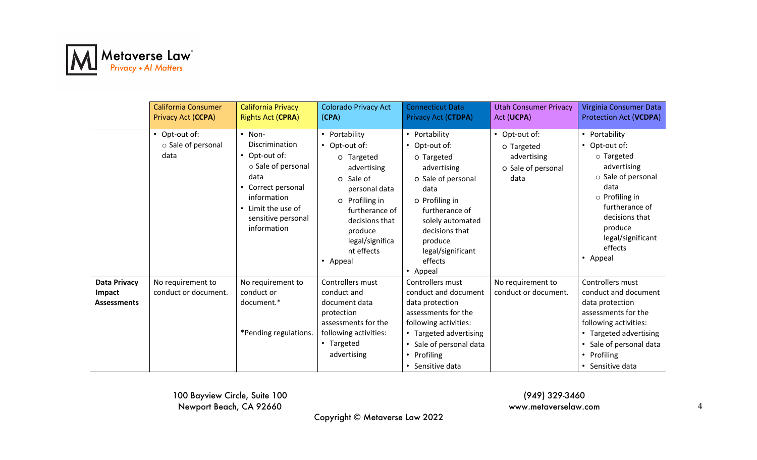

|                                                            | <b>California Consumer</b><br>Privacy Act (CCPA) | <b>California Privacy</b><br><b>Rights Act (CPRA)</b>                                                                                                             | <b>Colorado Privacy Act</b><br>(CPA)                                                                                                                                                                               | <b>Connecticut Data</b><br>Privacy Act (CTDPA)                                                                                                                                                                                        | <b>Utah Consumer Privacy</b><br>Act (UCPA)                               | Virginia Consumer Data<br>Protection Act (VCDPA)                                                                                                                                                                   |
|------------------------------------------------------------|--------------------------------------------------|-------------------------------------------------------------------------------------------------------------------------------------------------------------------|--------------------------------------------------------------------------------------------------------------------------------------------------------------------------------------------------------------------|---------------------------------------------------------------------------------------------------------------------------------------------------------------------------------------------------------------------------------------|--------------------------------------------------------------------------|--------------------------------------------------------------------------------------------------------------------------------------------------------------------------------------------------------------------|
|                                                            | • Opt-out of:<br>○ Sale of personal<br>data      | • Non-<br>Discrimination<br>Opt-out of:<br>○ Sale of personal<br>data<br>Correct personal<br>information<br>Limit the use of<br>sensitive personal<br>information | • Portability<br>Opt-out of:<br>$\bullet$<br>o Targeted<br>advertising<br>o Sale of<br>personal data<br>o Profiling in<br>furtherance of<br>decisions that<br>produce<br>legal/significa<br>nt effects<br>• Appeal | • Portability<br>Opt-out of:<br>$\bullet$<br>o Targeted<br>advertising<br>o Sale of personal<br>data<br>o Profiling in<br>furtherance of<br>solely automated<br>decisions that<br>produce<br>legal/significant<br>effects<br>• Appeal | • Opt-out of:<br>o Targeted<br>advertising<br>o Sale of personal<br>data | • Portability<br>• Opt-out of:<br>$\circ$ Targeted<br>advertising<br>○ Sale of personal<br>data<br>$\circ$ Profiling in<br>furtherance of<br>decisions that<br>produce<br>legal/significant<br>effects<br>• Appeal |
| <b>Data Privacy</b><br><b>Impact</b><br><b>Assessments</b> | No requirement to<br>conduct or document.        | No requirement to<br>conduct or<br>document.*<br>*Pending regulations.                                                                                            | Controllers must<br>conduct and<br>document data<br>protection<br>assessments for the<br>following activities:<br>• Targeted<br>advertising                                                                        | Controllers must<br>conduct and document<br>data protection<br>assessments for the<br>following activities:<br>• Targeted advertising<br>• Sale of personal data<br>• Profiling<br>• Sensitive data                                   | No requirement to<br>conduct or document.                                | Controllers must<br>conduct and document<br>data protection<br>assessments for the<br>following activities:<br>• Targeted advertising<br>• Sale of personal data<br>• Profiling<br>• Sensitive data                |

(949) 329-3460 www.metaverselaw.com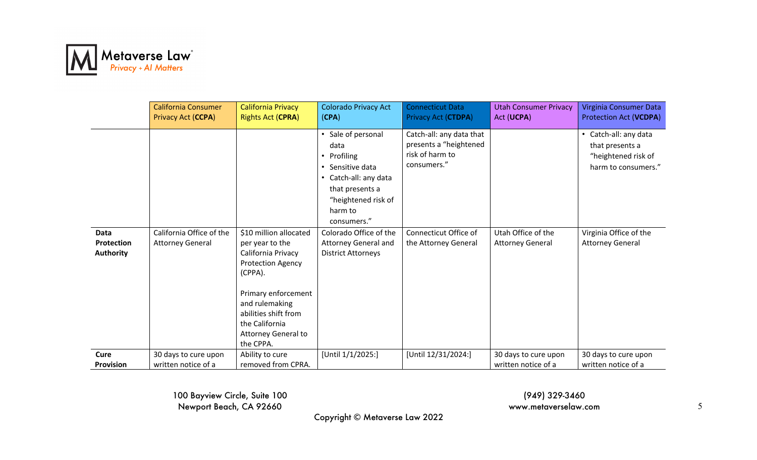

|                                        | California Consumer<br>Privacy Act (CCPA)           | <b>California Privacy</b><br><b>Rights Act (CPRA)</b>                                                                                                                                                                                | <b>Colorado Privacy Act</b><br>(CPA)                                                                                                                   | <b>Connecticut Data</b><br>Privacy Act (CTDPA)                                       | <b>Utah Consumer Privacy</b><br>Act (UCPA)    | Virginia Consumer Data<br>Protection Act (VCDPA)                                       |
|----------------------------------------|-----------------------------------------------------|--------------------------------------------------------------------------------------------------------------------------------------------------------------------------------------------------------------------------------------|--------------------------------------------------------------------------------------------------------------------------------------------------------|--------------------------------------------------------------------------------------|-----------------------------------------------|----------------------------------------------------------------------------------------|
|                                        |                                                     |                                                                                                                                                                                                                                      | Sale of personal<br>data<br>• Profiling<br>Sensitive data<br>• Catch-all: any data<br>that presents a<br>"heightened risk of<br>harm to<br>consumers." | Catch-all: any data that<br>presents a "heightened<br>risk of harm to<br>consumers." |                                               | • Catch-all: any data<br>that presents a<br>"heightened risk of<br>harm to consumers." |
| Data<br>Protection<br><b>Authority</b> | California Office of the<br><b>Attorney General</b> | \$10 million allocated<br>per year to the<br>California Privacy<br><b>Protection Agency</b><br>(CPPA).<br>Primary enforcement<br>and rulemaking<br>abilities shift from<br>the California<br><b>Attorney General to</b><br>the CPPA. | Colorado Office of the<br><b>Attorney General and</b><br><b>District Attorneys</b>                                                                     | Connecticut Office of<br>the Attorney General                                        | Utah Office of the<br><b>Attorney General</b> | Virginia Office of the<br><b>Attorney General</b>                                      |
| Cure<br><b>Provision</b>               | 30 days to cure upon<br>written notice of a         | Ability to cure<br>removed from CPRA.                                                                                                                                                                                                | [Until 1/1/2025:]                                                                                                                                      | [Until 12/31/2024:]                                                                  | 30 days to cure upon<br>written notice of a   | 30 days to cure upon<br>written notice of a                                            |

(949) 329-3460 www.metaverselaw.com